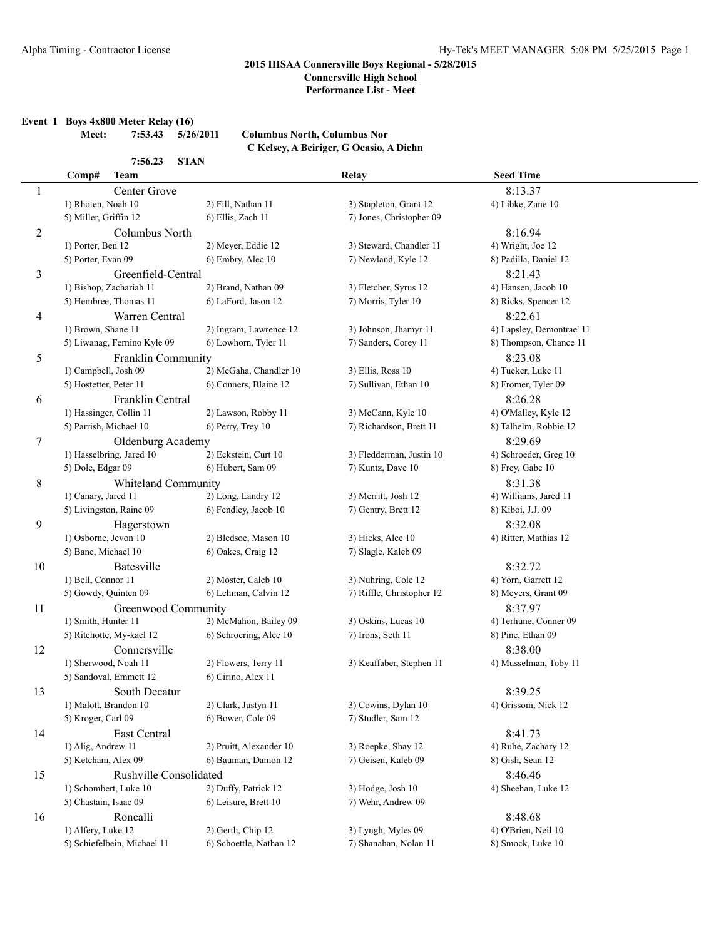## **Event 1 Boys 4x800 Meter Relay (16)**

**Meet: 7:53.43 5/26/2011 Columbus North, Columbus Nor C Kelsey, A Beiriger, G Ocasio, A Diehn**

|                | Comp#<br><b>Team</b>        |                         | Relay                     | <b>Seed Time</b>          |  |
|----------------|-----------------------------|-------------------------|---------------------------|---------------------------|--|
| $\mathbf{1}$   | Center Grove                |                         |                           | 8:13.37                   |  |
|                | 1) Rhoten, Noah 10          | 2) Fill, Nathan 11      | 3) Stapleton, Grant 12    | 4) Libke, Zane 10         |  |
|                | 5) Miller, Griffin 12       | 6) Ellis, Zach 11       | 7) Jones, Christopher 09  |                           |  |
| $\overline{c}$ | Columbus North              |                         |                           | 8:16.94                   |  |
|                | 1) Porter, Ben 12           | 2) Meyer, Eddie 12      | 3) Steward, Chandler 11   | 4) Wright, Joe 12         |  |
|                | 5) Porter, Evan 09          | 6) Embry, Alec 10       | 7) Newland, Kyle 12       | 8) Padilla, Daniel 12     |  |
| 3              | Greenfield-Central          |                         |                           | 8:21.43                   |  |
|                | 1) Bishop, Zachariah 11     | 2) Brand, Nathan 09     | 3) Fletcher, Syrus 12     | 4) Hansen, Jacob 10       |  |
|                | 5) Hembree, Thomas 11       | 6) LaFord, Jason 12     | 7) Morris, Tyler 10       | 8) Ricks, Spencer 12      |  |
| 4              | Warren Central              |                         |                           | 8:22.61                   |  |
|                | 1) Brown, Shane 11          | 2) Ingram, Lawrence 12  | 3) Johnson, Jhamyr 11     | 4) Lapsley, Demontrae' 11 |  |
|                | 5) Liwanag, Fernino Kyle 09 | 6) Lowhorn, Tyler 11    | 7) Sanders, Corey 11      | 8) Thompson, Chance 11    |  |
| 5              | Franklin Community          |                         |                           | 8:23.08                   |  |
|                | 1) Campbell, Josh 09        | 2) McGaha, Chandler 10  | 3) Ellis, Ross 10         | 4) Tucker, Luke 11        |  |
|                | 5) Hostetter, Peter 11      | 6) Conners, Blaine 12   | 7) Sullivan, Ethan 10     | 8) Fromer, Tyler 09       |  |
| 6              | Franklin Central            |                         |                           | 8:26.28                   |  |
|                | 1) Hassinger, Collin 11     | 2) Lawson, Robby 11     | 3) McCann, Kyle 10        | 4) O'Malley, Kyle 12      |  |
|                | 5) Parrish, Michael 10      | 6) Perry, Trey 10       | 7) Richardson, Brett 11   | 8) Talhelm, Robbie 12     |  |
| 7              | Oldenburg Academy           |                         |                           | 8:29.69                   |  |
|                | 1) Hasselbring, Jared 10    | 2) Eckstein, Curt 10    | 3) Fledderman, Justin 10  | 4) Schroeder, Greg 10     |  |
|                | 5) Dole, Edgar 09           | 6) Hubert, Sam 09       | 7) Kuntz, Dave 10         | 8) Frey, Gabe 10          |  |
| 8              | <b>Whiteland Community</b>  |                         |                           | 8:31.38                   |  |
|                | 1) Canary, Jared 11         | 2) Long, Landry 12      | 3) Merritt, Josh 12       | 4) Williams, Jared 11     |  |
|                | 5) Livingston, Raine 09     | 6) Fendley, Jacob 10    | 7) Gentry, Brett 12       | 8) Kiboi, J.J. 09         |  |
| 9              | Hagerstown                  |                         |                           | 8:32.08                   |  |
|                | 1) Osborne, Jevon 10        | 2) Bledsoe, Mason 10    | 3) Hicks, Alec 10         | 4) Ritter, Mathias 12     |  |
|                | 5) Bane, Michael 10         | 6) Oakes, Craig 12      | 7) Slagle, Kaleb 09       |                           |  |
| 10             | Batesville                  |                         |                           | 8:32.72                   |  |
|                | 1) Bell, Connor 11          | 2) Moster, Caleb 10     | 3) Nuhring, Cole 12       | 4) Yorn, Garrett 12       |  |
|                | 5) Gowdy, Quinten 09        | 6) Lehman, Calvin 12    | 7) Riffle, Christopher 12 | 8) Meyers, Grant 09       |  |
| 11             | Greenwood Community         |                         |                           | 8:37.97                   |  |
|                | 1) Smith, Hunter 11         | 2) McMahon, Bailey 09   | 3) Oskins, Lucas 10       | 4) Terhune, Conner 09     |  |
|                | 5) Ritchotte, My-kael 12    | 6) Schroering, Alec 10  | 7) Irons, Seth 11         | 8) Pine, Ethan 09         |  |
| 12             | Connersville                |                         |                           | 8:38.00                   |  |
|                | 1) Sherwood, Noah 11        | 2) Flowers, Terry 11    | 3) Keaffaber, Stephen 11  | 4) Musselman, Toby 11     |  |
|                | 5) Sandoval, Emmett 12      | 6) Cirino, Alex 11      |                           |                           |  |
| 13             | South Decatur               |                         |                           | 8:39.25                   |  |
|                | 1) Malott, Brandon 10       | 2) Clark, Justyn 11     | 3) Cowins, Dylan 10       | 4) Grissom, Nick 12       |  |
|                | 5) Kroger, Carl 09          | 6) Bower, Cole 09       | 7) Studler, Sam 12        |                           |  |
| 14             | East Central                |                         |                           | 8:41.73                   |  |
|                | 1) Alig, Andrew 11          | 2) Pruitt, Alexander 10 | 3) Roepke, Shay 12        | 4) Ruhe, Zachary 12       |  |
|                | 5) Ketcham, Alex 09         | 6) Bauman, Damon 12     | 7) Geisen, Kaleb 09       | 8) Gish, Sean 12          |  |
| 15             | Rushville Consolidated      |                         |                           | 8:46.46                   |  |
|                | 1) Schombert, Luke 10       | 2) Duffy, Patrick 12    | 3) Hodge, Josh 10         | 4) Sheehan, Luke 12       |  |
|                | 5) Chastain, Isaac 09       | 6) Leisure, Brett 10    | 7) Wehr, Andrew 09        |                           |  |
| 16             | Roncalli                    |                         |                           | 8:48.68                   |  |
|                | 1) Alfery, Luke 12          | 2) Gerth, Chip 12       | 3) Lyngh, Myles 09        | 4) O'Brien, Neil 10       |  |

5) Schiefelbein, Michael 11 6) Schoettle, Nathan 12 7) Shanahan, Nolan 11 8) Smock, Luke 10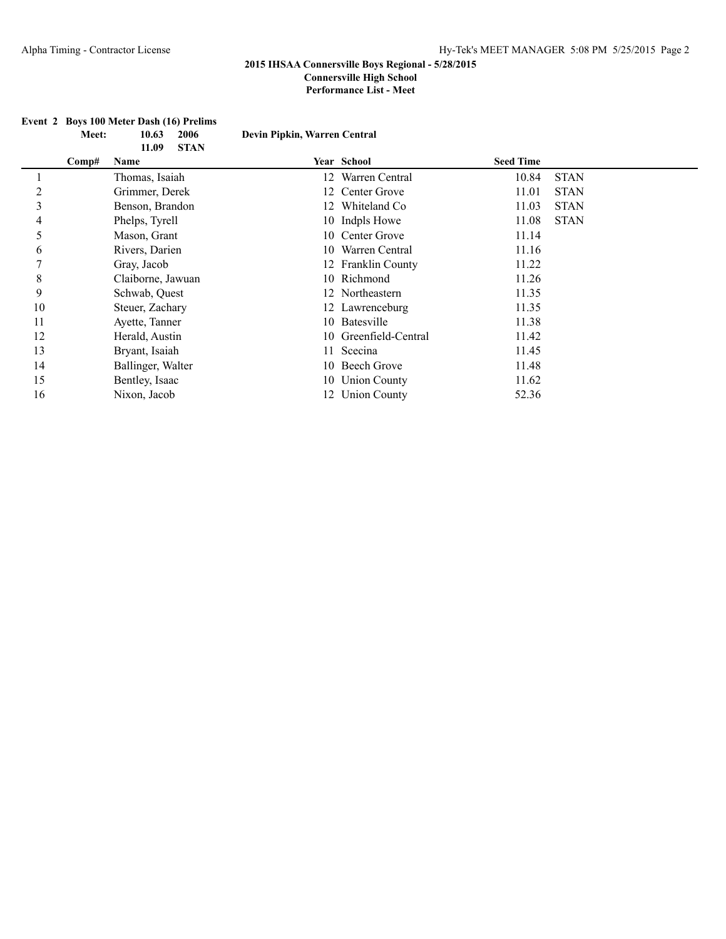**Performance List - Meet**

|    | Meet: | 2006<br>10.63                | Devin Pipkin, Warren Central |                       |                  |             |
|----|-------|------------------------------|------------------------------|-----------------------|------------------|-------------|
|    | Comp# | <b>STAN</b><br>11.09<br>Name |                              | Year School           | <b>Seed Time</b> |             |
|    |       | Thomas, Isaiah               |                              | 12 Warren Central     | 10.84            | <b>STAN</b> |
|    |       | Grimmer, Derek               |                              | 12 Center Grove       | 11.01            | <b>STAN</b> |
| 3  |       | Benson, Brandon              |                              | 12 Whiteland Co       | 11.03            | <b>STAN</b> |
| 4  |       | Phelps, Tyrell               |                              | 10 Indpls Howe        | 11.08            | <b>STAN</b> |
|    |       | Mason, Grant                 |                              | 10 Center Grove       | 11.14            |             |
| 6  |       | Rivers, Darien               |                              | 10 Warren Central     | 11.16            |             |
|    |       | Gray, Jacob                  |                              | 12 Franklin County    | 11.22            |             |
| 8  |       | Claiborne, Jawuan            |                              | 10 Richmond           | 11.26            |             |
| 9  |       | Schwab, Quest                |                              | 12 Northeastern       | 11.35            |             |
| 10 |       | Steuer, Zachary              |                              | 12 Lawrenceburg       | 11.35            |             |
| 11 |       | Ayette, Tanner               |                              | 10 Batesville         | 11.38            |             |
| 12 |       | Herald, Austin               |                              | 10 Greenfield-Central | 11.42            |             |
| 13 |       | Bryant, Isaiah               |                              | 11 Scecina            | 11.45            |             |
| 14 |       | Ballinger, Walter            |                              | 10 Beech Grove        | 11.48            |             |
| 15 |       | Bentley, Isaac               |                              | 10 Union County       | 11.62            |             |
| 16 |       | Nixon, Jacob                 |                              | 12 Union County       | 52.36            |             |

# **Event 2 Boys 100 Meter Dash (16) Prelims**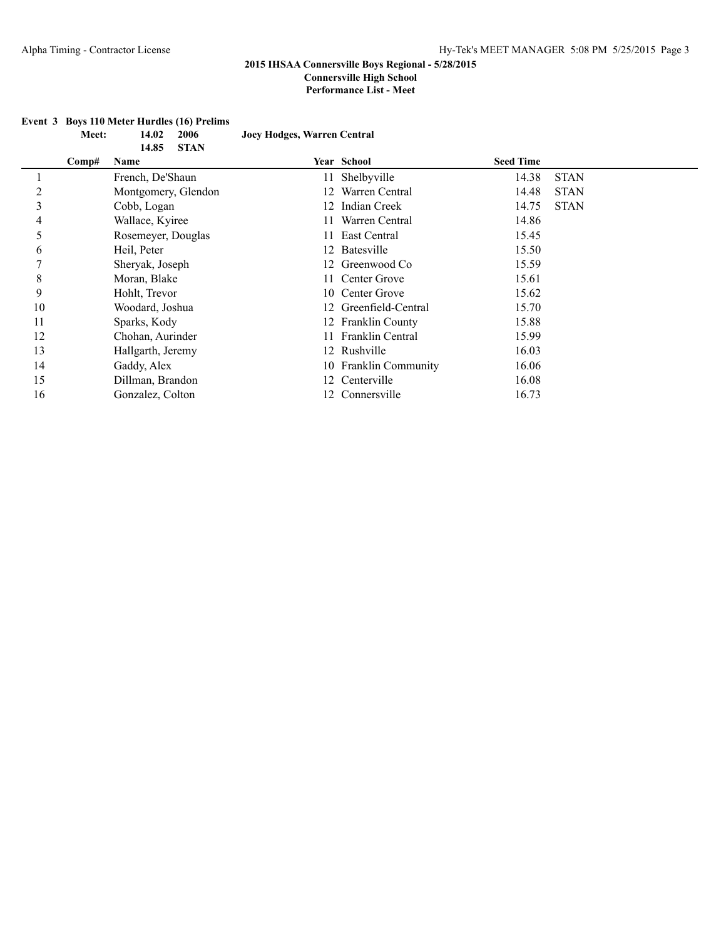**Performance List - Meet**

|    |       | <b>STAN</b><br>14.85 |     |                         |                  |             |
|----|-------|----------------------|-----|-------------------------|------------------|-------------|
|    | Comp# | Name                 |     | Year School             | <b>Seed Time</b> |             |
|    |       | French, De'Shaun     |     | 11 Shelbyville          | 14.38            | <b>STAN</b> |
|    |       | Montgomery, Glendon  | 12  | Warren Central          | 14.48            | <b>STAN</b> |
| 3  |       | Cobb, Logan          |     | 12 Indian Creek         | 14.75            | <b>STAN</b> |
| 4  |       | Wallace, Kyiree      |     | Warren Central          | 14.86            |             |
| 5  |       | Rosemeyer, Douglas   |     | 11 East Central         | 15.45            |             |
| 6  |       | Heil, Peter          |     | 12 Batesville           | 15.50            |             |
|    |       | Sheryak, Joseph      |     | 12 Greenwood Co         | 15.59            |             |
| 8  |       | Moran, Blake         |     | Center Grove            | 15.61            |             |
| 9  |       | Hohlt, Trevor        | 10  | Center Grove            | 15.62            |             |
| 10 |       | Woodard, Joshua      | 12. | Greenfield-Central      | 15.70            |             |
| 11 |       | Sparks, Kody         |     | 12 Franklin County      | 15.88            |             |
| 12 |       | Chohan, Aurinder     |     | <b>Franklin Central</b> | 15.99            |             |
| 13 |       | Hallgarth, Jeremy    |     | 12 Rushville            | 16.03            |             |
| 14 |       | Gaddy, Alex          |     | 10 Franklin Community   | 16.06            |             |
| 15 |       | Dillman, Brandon     |     | 12 Centerville          | 16.08            |             |
| 16 |       | Gonzalez, Colton     |     | 12 Connersville         | 16.73            |             |

#### **Event 3 Boys 110 Meter Hurdles (16) Prelims Meet: 14.02 2006 Joey Hodges, Warren Central**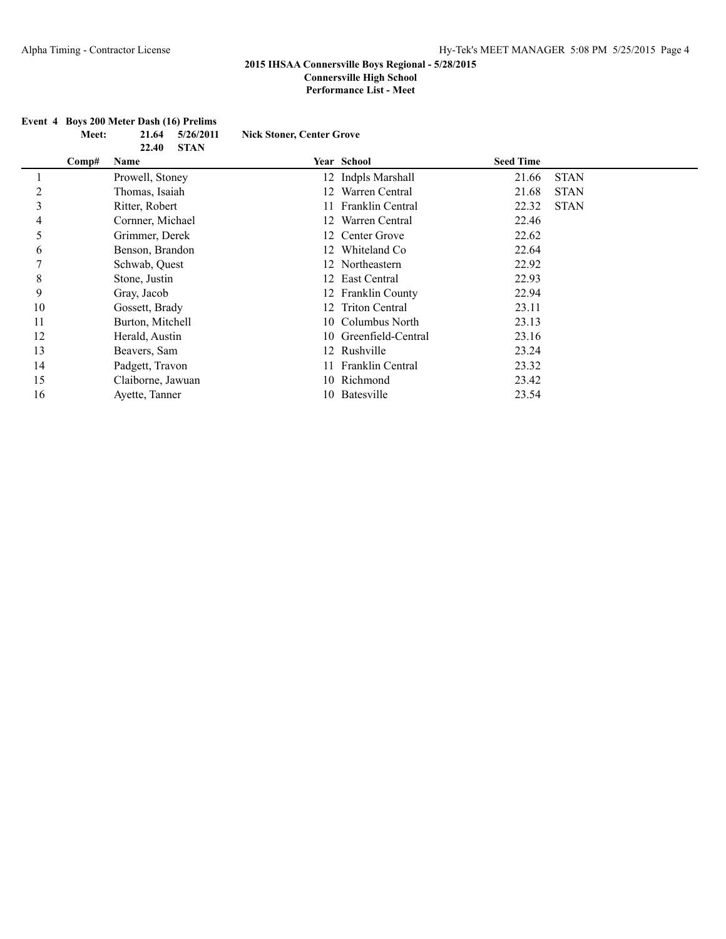**Performance List - Meet**

|    | <b>IVICEL.</b> | 41.04             | 3/20/2011   | <b>INICK SWIICI, CEINEI GTOVE</b> |                         |                  |             |
|----|----------------|-------------------|-------------|-----------------------------------|-------------------------|------------------|-------------|
|    | Comp#          | 22.40<br>Name     | <b>STAN</b> |                                   | Year School             | <b>Seed Time</b> |             |
|    |                | Prowell, Stoney   |             |                                   | 12 Indpls Marshall      | 21.66            | <b>STAN</b> |
| 2  |                | Thomas, Isaiah    |             | 12                                | Warren Central          | 21.68            | <b>STAN</b> |
| 3  |                | Ritter, Robert    |             |                                   | <b>Franklin Central</b> | 22.32            | <b>STAN</b> |
| 4  |                | Cornner, Michael  |             |                                   | Warren Central          | 22.46            |             |
| 5  |                | Grimmer, Derek    |             | 12                                | Center Grove            | 22.62            |             |
| 6  |                | Benson, Brandon   |             |                                   | Whiteland Co.           | 22.64            |             |
|    |                | Schwab, Quest     |             | 12                                | Northeastern            | 22.92            |             |
| 8  |                | Stone, Justin     |             | 12                                | East Central            | 22.93            |             |
| 9  |                | Gray, Jacob       |             |                                   | 12 Franklin County      | 22.94            |             |
| 10 |                | Gossett, Brady    |             |                                   | <b>Triton Central</b>   | 23.11            |             |
| 11 |                | Burton, Mitchell  |             | 10.                               | Columbus North          | 23.13            |             |
| 12 |                | Herald, Austin    |             | 10.                               | Greenfield-Central      | 23.16            |             |
| 13 |                | Beavers, Sam      |             |                                   | 12 Rushville            | 23.24            |             |
| 14 |                | Padgett, Travon   |             |                                   | <b>Franklin Central</b> | 23.32            |             |
| 15 |                | Claiborne, Jawuan |             | 10.                               | Richmond                | 23.42            |             |
| 16 |                | Ayette, Tanner    |             | 10                                | Batesville              | 23.54            |             |

# **Event 4 Boys 200 Meter Dash (16) Prelims Meet: 21.64 5/26/2011 Nick Stoner, Center Grove**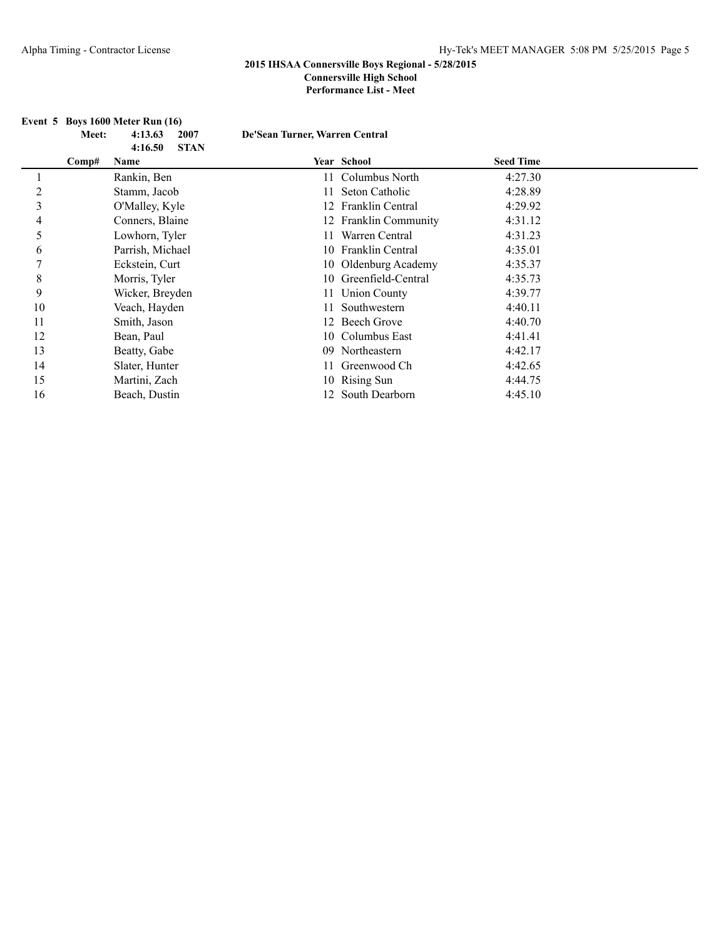|    | Event $5$ Boys 1600 Meter Run $(16)$ |             |                                |                       |                  |  |
|----|--------------------------------------|-------------|--------------------------------|-----------------------|------------------|--|
|    | Meet:<br>4:13.63                     | 2007        | De'Sean Turner, Warren Central |                       |                  |  |
|    | 4:16.50                              | <b>STAN</b> |                                |                       |                  |  |
|    | Comp#<br>Name                        |             |                                | Year School           | <b>Seed Time</b> |  |
|    | Rankin, Ben                          |             |                                | 11 Columbus North     | 4:27.30          |  |
|    | Stamm, Jacob                         |             |                                | Seton Catholic        | 4:28.89          |  |
| 3  | O'Malley, Kyle                       |             |                                | 12 Franklin Central   | 4:29.92          |  |
| 4  | Conners, Blaine                      |             |                                | 12 Franklin Community | 4:31.12          |  |
| 5  | Lowhorn, Tyler                       |             |                                | Warren Central        | 4:31.23          |  |
| 6  | Parrish, Michael                     |             |                                | 10 Franklin Central   | 4:35.01          |  |
| 7  | Eckstein, Curt                       |             |                                | 10 Oldenburg Academy  | 4:35.37          |  |
| 8  | Morris, Tyler                        |             |                                | 10 Greenfield-Central | 4:35.73          |  |
| 9  | Wicker, Breyden                      |             |                                | <b>Union County</b>   | 4:39.77          |  |
| 10 | Veach, Hayden                        |             | 11                             | Southwestern          | 4:40.11          |  |
| 11 | Smith, Jason                         |             |                                | 12 Beech Grove        | 4:40.70          |  |
| 12 | Bean, Paul                           |             |                                | 10 Columbus East      | 4:41.41          |  |
| 13 | Beatty, Gabe                         |             |                                | 09 Northeastern       | 4:42.17          |  |
| 14 | Slater, Hunter                       |             |                                | Greenwood Ch          | 4:42.65          |  |
| 15 | Martini, Zach                        |             |                                | 10 Rising Sun         | 4:44.75          |  |
| 16 | Beach, Dustin                        |             |                                | 12 South Dearborn     | 4:45.10          |  |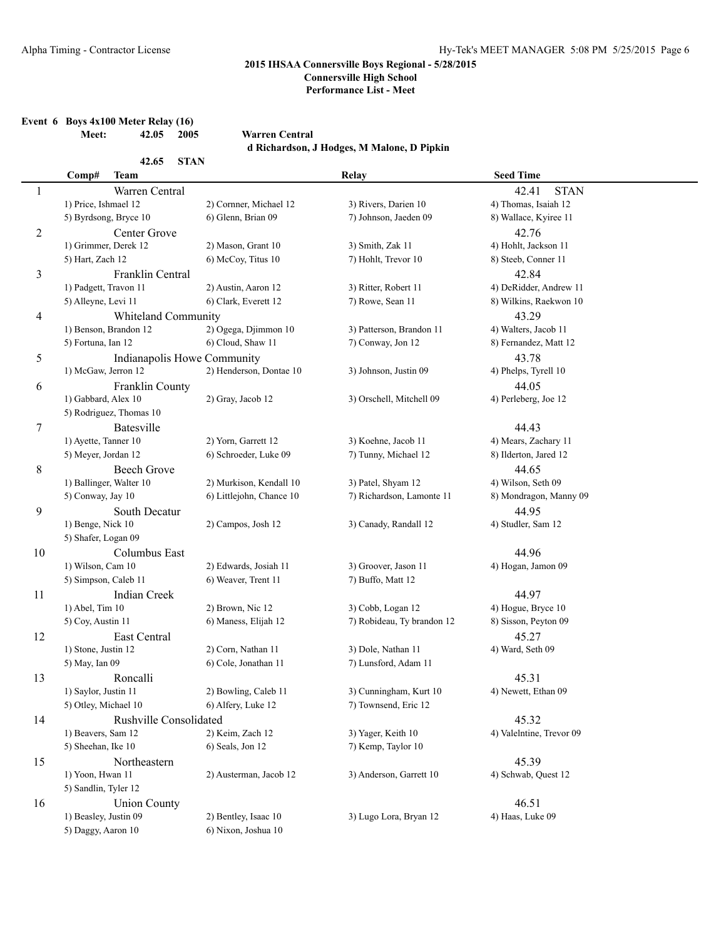#### **Event 6 Boys 4x100 Meter Relay (16) Meet: 42.05 2005 Warren Central**

| 42.65 | STAN |
|-------|------|
|       |      |

### **d Richardson, J Hodges, M Malone, D Pipkin**

|                | Comp#<br><b>Team</b>          |                             | Relay                      | <b>Seed Time</b>         |
|----------------|-------------------------------|-----------------------------|----------------------------|--------------------------|
| 1              | Warren Central                |                             |                            | 42.41<br><b>STAN</b>     |
|                | 1) Price, Ishmael 12          | 2) Cornner, Michael 12      | 3) Rivers, Darien 10       | 4) Thomas, Isaiah 12     |
|                | 5) Byrdsong, Bryce 10         | 6) Glenn, Brian 09          | 7) Johnson, Jaeden 09      | 8) Wallace, Kyiree 11    |
| $\overline{c}$ | Center Grove                  |                             |                            | 42.76                    |
|                | 1) Grimmer, Derek 12          | 2) Mason, Grant 10          | 3) Smith, Zak 11           | 4) Hohlt, Jackson 11     |
|                | 5) Hart, Zach 12              | 6) McCoy, Titus 10          | 7) Hohlt, Trevor 10        | 8) Steeb, Conner 11      |
| 3              | Franklin Central              |                             |                            | 42.84                    |
|                | 1) Padgett, Travon 11         | 2) Austin, Aaron 12         | 3) Ritter, Robert 11       | 4) DeRidder, Andrew 11   |
|                | 5) Alleyne, Levi 11           | 6) Clark, Everett 12        | 7) Rowe, Sean 11           | 8) Wilkins, Raekwon 10   |
| 4              | <b>Whiteland Community</b>    |                             |                            | 43.29                    |
|                | 1) Benson, Brandon 12         | 2) Ogega, Djimmon 10        | 3) Patterson, Brandon 11   | 4) Walters, Jacob 11     |
|                | 5) Fortuna, Ian 12            | 6) Cloud, Shaw 11           | 7) Conway, Jon 12          | 8) Fernandez, Matt 12    |
| 5              |                               | Indianapolis Howe Community |                            | 43.78                    |
|                | 1) McGaw, Jerron 12           | 2) Henderson, Dontae 10     | 3) Johnson, Justin 09      | 4) Phelps, Tyrell 10     |
| 6              | Franklin County               |                             |                            | 44.05                    |
|                | 1) Gabbard, Alex 10           | 2) Gray, Jacob 12           | 3) Orschell, Mitchell 09   | 4) Perleberg, Joe 12     |
|                | 5) Rodriguez, Thomas 10       |                             |                            |                          |
| 7              | Batesville                    |                             |                            | 44.43                    |
|                | 1) Ayette, Tanner 10          | 2) Yorn, Garrett 12         | 3) Koehne, Jacob 11        | 4) Mears, Zachary 11     |
|                | 5) Meyer, Jordan 12           | 6) Schroeder, Luke 09       | 7) Tunny, Michael 12       | 8) Ilderton, Jared 12    |
| 8              | <b>Beech Grove</b>            |                             |                            | 44.65                    |
|                | 1) Ballinger, Walter 10       | 2) Murkison, Kendall 10     | 3) Patel, Shyam 12         | 4) Wilson, Seth 09       |
|                | 5) Conway, Jay 10             | 6) Littlejohn, Chance 10    | 7) Richardson, Lamonte 11  | 8) Mondragon, Manny 09   |
| 9              | South Decatur                 |                             |                            | 44.95                    |
|                | 1) Benge, Nick 10             | 2) Campos, Josh 12          | 3) Canady, Randall 12      | 4) Studler, Sam 12       |
|                | 5) Shafer, Logan 09           |                             |                            |                          |
| 10             | Columbus East                 |                             |                            | 44.96                    |
|                | 1) Wilson, Cam 10             | 2) Edwards, Josiah 11       | 3) Groover, Jason 11       | 4) Hogan, Jamon 09       |
|                | 5) Simpson, Caleb 11          | 6) Weaver, Trent 11         | 7) Buffo, Matt 12          |                          |
| 11             | Indian Creek                  |                             |                            | 44.97                    |
|                | $1)$ Abel, Tim $10$           | 2) Brown, Nic 12            | 3) Cobb, Logan 12          | 4) Hogue, Bryce 10       |
|                | 5) Coy, Austin 11             | 6) Maness, Elijah 12        | 7) Robideau, Ty brandon 12 | 8) Sisson, Peyton 09     |
| 12             | East Central                  |                             |                            | 45.27                    |
|                | 1) Stone, Justin 12           | 2) Corn, Nathan 11          | 3) Dole, Nathan 11         | 4) Ward, Seth 09         |
|                | 5) May, Ian 09                | 6) Cole, Jonathan 11        | 7) Lunsford, Adam 11       |                          |
| 13             | Roncalli                      |                             |                            | 45.31                    |
|                | 1) Saylor, Justin 11          | 2) Bowling, Caleb 11        | 3) Cunningham, Kurt 10     | 4) Newett, Ethan 09      |
|                | 5) Otley, Michael 10          | 6) Alfery, Luke 12          | 7) Townsend, Eric 12       |                          |
| 14             | <b>Rushville Consolidated</b> |                             |                            | 45.32                    |
|                | 1) Beavers, Sam 12            | 2) Keim, Zach 12            | 3) Yager, Keith 10         | 4) Valelntine, Trevor 09 |
|                | 5) Sheehan, Ike 10            | 6) Seals, Jon 12            | 7) Kemp, Taylor 10         |                          |
| 15             | Northeastern                  |                             |                            | 45.39                    |
|                | 1) Yoon, Hwan 11              | 2) Austerman, Jacob 12      | 3) Anderson, Garrett 10    | 4) Schwab, Quest 12      |
|                | 5) Sandlin, Tyler 12          |                             |                            |                          |
| 16             | <b>Union County</b>           |                             |                            | 46.51                    |
|                | 1) Beasley, Justin 09         | 2) Bentley, Isaac 10        | 3) Lugo Lora, Bryan 12     | 4) Haas, Luke 09         |
|                | 5) Daggy, Aaron 10            | 6) Nixon, Joshua 10         |                            |                          |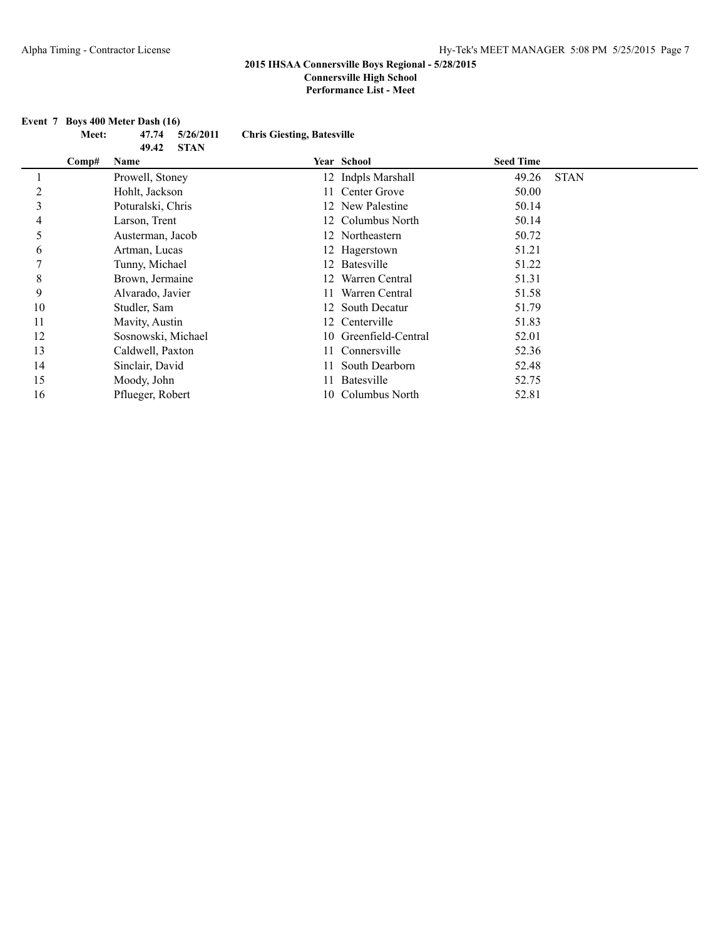**Performance List - Meet**

# **Event 7 Boys 400 Meter Dash (16)**<br>Meet: 47.74 5/26/2011

|    | Meet: | 47.74              | 5/26/2011   | <b>Chris Giesting, Batesville</b> |                      |                  |             |
|----|-------|--------------------|-------------|-----------------------------------|----------------------|------------------|-------------|
|    | Comp# | 49.42<br>Name      | <b>STAN</b> |                                   | Year School          | <b>Seed Time</b> |             |
|    |       | Prowell, Stoney    |             |                                   | 12 Indpls Marshall   | 49.26            | <b>STAN</b> |
|    |       | Hohlt, Jackson     |             |                                   | Center Grove         | 50.00            |             |
| 3  |       | Poturalski, Chris  |             |                                   | 12 New Palestine     | 50.14            |             |
| 4  |       | Larson, Trent      |             |                                   | 12 Columbus North    | 50.14            |             |
| 5  |       | Austerman, Jacob   |             |                                   | 12 Northeastern      | 50.72            |             |
| 6  |       | Artman, Lucas      |             |                                   | 12 Hagerstown        | 51.21            |             |
|    |       | Tunny, Michael     |             |                                   | 12 Batesville        | 51.22            |             |
| 8  |       | Brown, Jermaine    |             |                                   | Warren Central       | 51.31            |             |
| 9  |       | Alvarado, Javier   |             |                                   | Warren Central       | 51.58            |             |
| 10 |       | Studler, Sam       |             |                                   | <b>South Decatur</b> | 51.79            |             |
| 11 |       | Mavity, Austin     |             | 12                                | Centerville          | 51.83            |             |
| 12 |       | Sosnowski, Michael |             | 10.                               | Greenfield-Central   | 52.01            |             |
| 13 |       | Caldwell, Paxton   |             |                                   | Connersville         | 52.36            |             |
| 14 |       | Sinclair, David    |             |                                   | South Dearborn       | 52.48            |             |
| 15 |       | Moody, John        |             |                                   | Batesville           | 52.75            |             |
| 16 |       | Pflueger, Robert   |             | 10.                               | Columbus North       | 52.81            |             |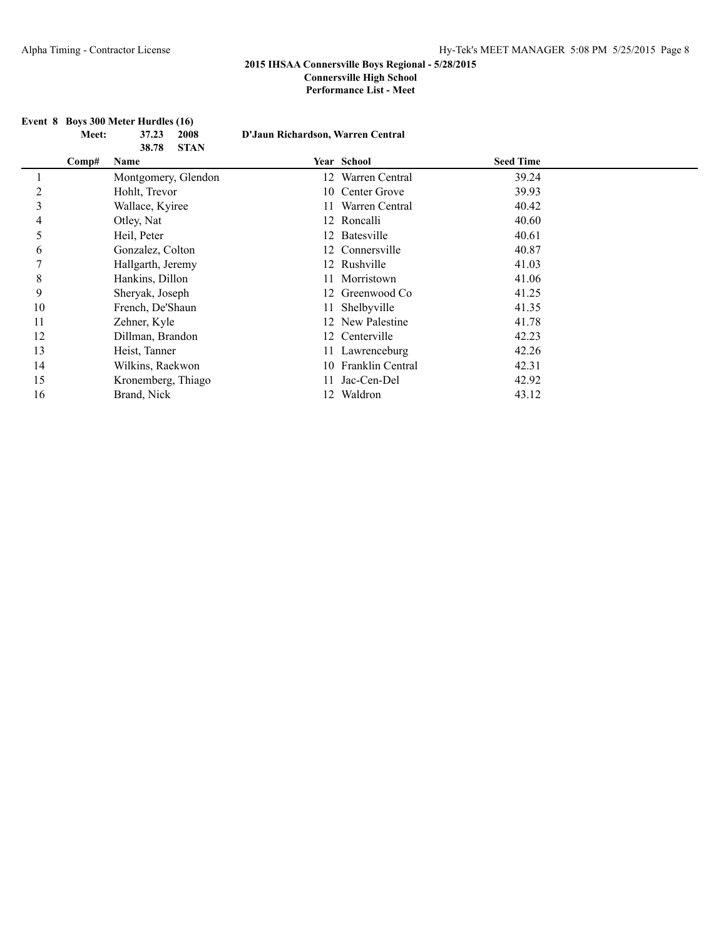|    |       | Event 8 Boys 300 Meter Hurdles (16) |                                   |                     |                  |
|----|-------|-------------------------------------|-----------------------------------|---------------------|------------------|
|    | Meet: | 37.23<br>2008                       | D'Jaun Richardson, Warren Central |                     |                  |
|    |       | <b>STAN</b><br>38.78                |                                   |                     |                  |
|    | Comp# | Name                                |                                   | Year School         | <b>Seed Time</b> |
|    |       | Montgomery, Glendon                 | 12                                | Warren Central      | 39.24            |
|    |       | Hohlt, Trevor                       |                                   | 10 Center Grove     | 39.93            |
| 3  |       | Wallace, Kyiree                     |                                   | Warren Central      | 40.42            |
| 4  |       | Otley, Nat                          |                                   | 12 Roncalli         | 40.60            |
| 5  |       | Heil, Peter                         |                                   | 12 Batesville       | 40.61            |
| 6  |       | Gonzalez, Colton                    |                                   | 12 Connersville     | 40.87            |
| 7  |       | Hallgarth, Jeremy                   |                                   | 12 Rushville        | 41.03            |
| 8  |       | Hankins, Dillon                     |                                   | Morristown          | 41.06            |
| 9  |       | Sheryak, Joseph                     |                                   | 12 Greenwood Co     | 41.25            |
| 10 |       | French, De'Shaun                    |                                   | Shelbyville         | 41.35            |
| 11 |       | Zehner, Kyle                        |                                   | 12 New Palestine    | 41.78            |
| 12 |       | Dillman, Brandon                    |                                   | 12 Centerville      | 42.23            |
| 13 |       | Heist, Tanner                       |                                   | 11 Lawrenceburg     | 42.26            |
| 14 |       | Wilkins, Raekwon                    |                                   | 10 Franklin Central | 42.31            |
| 15 |       | Kronemberg, Thiago                  |                                   | Jac-Cen-Del         | 42.92            |
| 16 |       | Brand, Nick                         | 12.                               | Waldron             | 43.12            |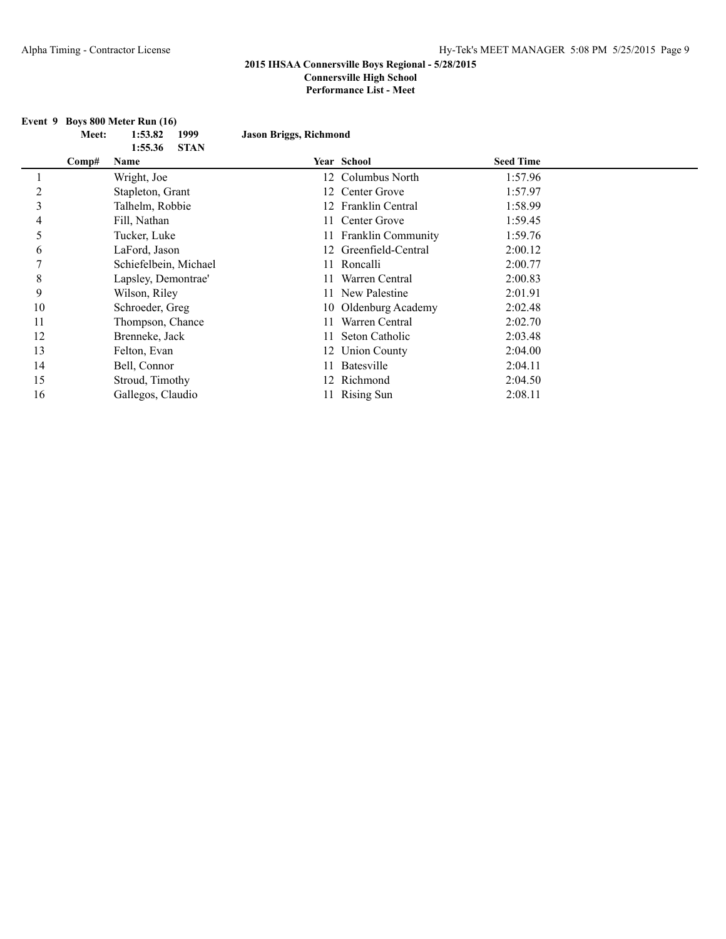## **Event 9 Boys 800 Meter Run (16) Meet: 1:53.82 1999 Jason Briggs, Richmond 1:55.36 STAN Comp# Name Year School Seed Time** 1 Wright, Joe 12 Columbus North 1:57.96 2 Stapleton, Grant 12 Center Grove 1:57.97 3 Talhelm, Robbie 12 Franklin Central 1:58.99 4 Fill, Nathan 11 Center Grove 1:59.45 5 Tucker, Luke 11 Franklin Community 1:59.76 6 LaFord, Jason 12 Greenfield-Central 2:00.12 7 Schiefelbein, Michael 11 Roncalli 2:00.77 8 Lapsley, Demontrae' 11 Warren Central 2:00.83 9 Wilson, Riley 11 New Palestine 2:01.91 10 Schroeder, Greg 10 Oldenburg Academy 2:02.48 11 Thompson, Chance 11 Warren Central 2:02.70 12 Brenneke, Jack 11 Seton Catholic 2:03.48 13 Felton, Evan 12 Union County 2:04.00 14 Bell, Connor 11 Batesville 2:04.11 15 Stroud, Timothy 12 Richmond 2:04.50

16 Gallegos, Claudio 11 Rising Sun 2:08.11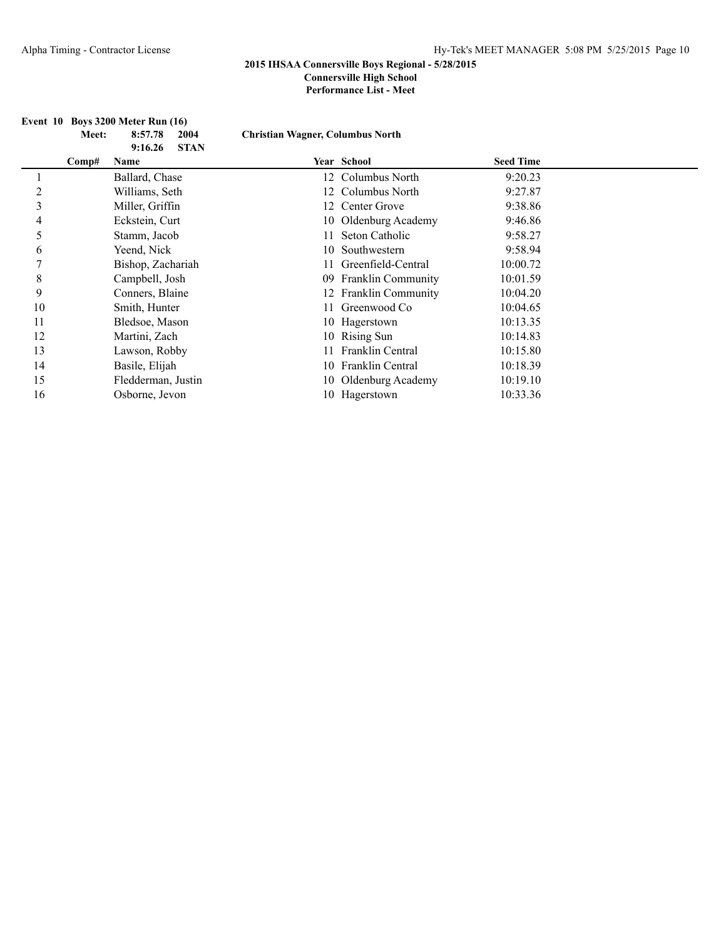|    |       | Event 10 Boys 3200 Meter Run (16) |                                         |                           |                  |  |
|----|-------|-----------------------------------|-----------------------------------------|---------------------------|------------------|--|
|    | Meet: | 8:57.78<br>2004                   | <b>Christian Wagner, Columbus North</b> |                           |                  |  |
|    |       | <b>STAN</b><br>9:16.26            |                                         |                           |                  |  |
|    | Comp# | Name                              |                                         | Year School               | <b>Seed Time</b> |  |
|    |       | Ballard, Chase                    |                                         | Columbus North            | 9:20.23          |  |
|    |       | Williams, Seth                    |                                         | 12 Columbus North         | 9:27.87          |  |
| 3  |       | Miller, Griffin                   |                                         | 12 Center Grove           | 9:38.86          |  |
| 4  |       | Eckstein, Curt                    |                                         | 10 Oldenburg Academy      | 9:46.86          |  |
| 5  |       | Stamm, Jacob                      |                                         | Seton Catholic            | 9:58.27          |  |
| 6  |       | Yeend, Nick                       | 10.                                     | Southwestern              | 9:58.94          |  |
|    |       | Bishop, Zachariah                 |                                         | Greenfield-Central        | 10:00.72         |  |
| 8  |       | Campbell, Josh                    | 09                                      | <b>Franklin Community</b> | 10:01.59         |  |
| 9  |       | Conners, Blaine                   |                                         | <b>Franklin Community</b> | 10:04.20         |  |
| 10 |       | Smith, Hunter                     |                                         | Greenwood Co              | 10:04.65         |  |
| 11 |       | Bledsoe, Mason                    |                                         | 10 Hagerstown             | 10:13.35         |  |
| 12 |       | Martini, Zach                     |                                         | 10 Rising Sun             | 10:14.83         |  |
| 13 |       | Lawson, Robby                     |                                         | <b>Franklin Central</b>   | 10:15.80         |  |
| 14 |       | Basile, Elijah                    |                                         | 10 Franklin Central       | 10:18.39         |  |
| 15 |       | Fledderman, Justin                |                                         | 10 Oldenburg Academy      | 10:19.10         |  |
| 16 |       | Osborne, Jevon                    |                                         | 10 Hagerstown             | 10:33.36         |  |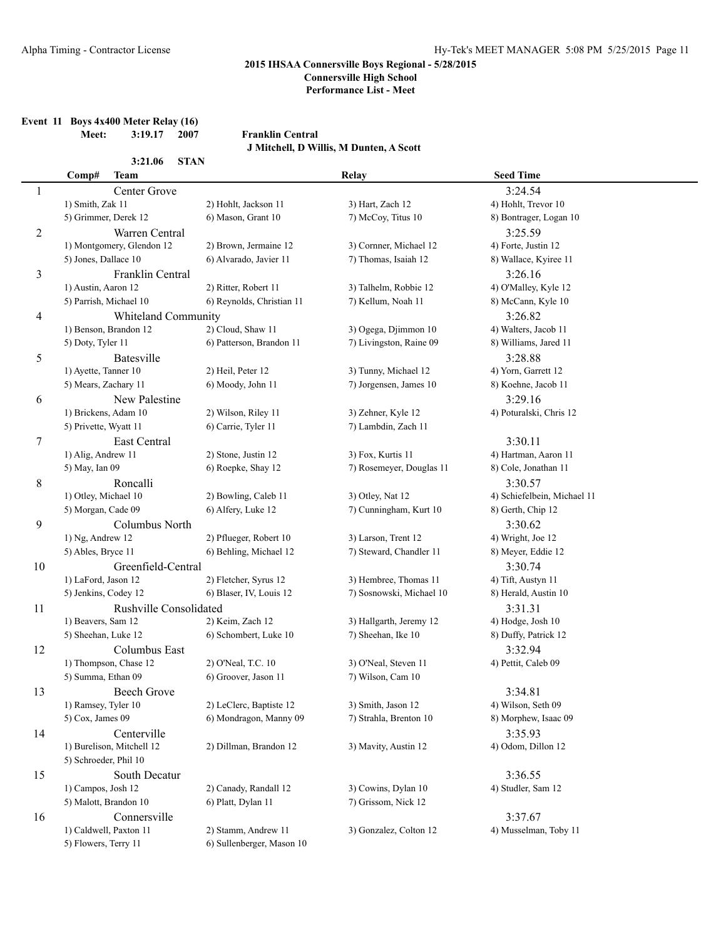#### **Event 11 Boys 4x400 Meter Relay (16) Meet: 3:19.17 2007 Franklin Central**

| <b>STAN</b><br>3:21.06 |
|------------------------|
|------------------------|

| J Mitchell, D Willis, M Dunten, A Scott |  |  |  |
|-----------------------------------------|--|--|--|
|                                         |  |  |  |

|    | <b>Team</b><br>Comp#          |                           | Relay                    | <b>Seed Time</b>            |  |
|----|-------------------------------|---------------------------|--------------------------|-----------------------------|--|
| 1  | Center Grove                  |                           |                          | 3:24.54                     |  |
|    | 1) Smith, Zak 11              | 2) Hohlt, Jackson 11      | 3) Hart, Zach 12         | 4) Hohlt, Trevor 10         |  |
|    | 5) Grimmer, Derek 12          | 6) Mason, Grant 10        | 7) McCoy, Titus 10       | 8) Bontrager, Logan 10      |  |
| 2  | Warren Central                |                           |                          | 3:25.59                     |  |
|    | 1) Montgomery, Glendon 12     | 2) Brown, Jermaine 12     | 3) Cornner, Michael 12   | 4) Forte, Justin 12         |  |
|    | 5) Jones, Dallace 10          | 6) Alvarado, Javier 11    | 7) Thomas, Isaiah 12     | 8) Wallace, Kyiree 11       |  |
| 3  | Franklin Central              |                           |                          | 3:26.16                     |  |
|    | 1) Austin, Aaron 12           | 2) Ritter, Robert 11      | 3) Talhelm, Robbie 12    | 4) O'Malley, Kyle 12        |  |
|    | 5) Parrish, Michael 10        | 6) Reynolds, Christian 11 | 7) Kellum, Noah 11       | 8) McCann, Kyle 10          |  |
| 4  | <b>Whiteland Community</b>    |                           |                          | 3:26.82                     |  |
|    | 1) Benson, Brandon 12         | 2) Cloud, Shaw 11         | 3) Ogega, Djimmon 10     | 4) Walters, Jacob 11        |  |
|    | 5) Doty, Tyler 11             | 6) Patterson, Brandon 11  | 7) Livingston, Raine 09  | 8) Williams, Jared 11       |  |
| 5  | Batesville                    |                           |                          | 3:28.88                     |  |
|    | 1) Ayette, Tanner 10          | 2) Heil, Peter 12         | 3) Tunny, Michael 12     | 4) Yorn, Garrett 12         |  |
|    | 5) Mears, Zachary 11          | 6) Moody, John 11         | 7) Jorgensen, James 10   | 8) Koehne, Jacob 11         |  |
| 6  | New Palestine                 |                           |                          | 3:29.16                     |  |
|    | 1) Brickens, Adam 10          | 2) Wilson, Riley 11       | 3) Zehner, Kyle 12       | 4) Poturalski, Chris 12     |  |
|    | 5) Privette, Wyatt 11         | 6) Carrie, Tyler 11       | 7) Lambdin, Zach 11      |                             |  |
| 7  | East Central                  |                           |                          | 3:30.11                     |  |
|    | 1) Alig, Andrew 11            | 2) Stone, Justin 12       | 3) Fox, Kurtis 11        | 4) Hartman, Aaron 11        |  |
|    | 5) May, Ian 09                | 6) Roepke, Shay 12        | 7) Rosemeyer, Douglas 11 | 8) Cole, Jonathan 11        |  |
| 8  | Roncalli                      |                           |                          | 3:30.57                     |  |
|    | 1) Otley, Michael 10          | 2) Bowling, Caleb 11      | 3) Otley, Nat 12         | 4) Schiefelbein, Michael 11 |  |
|    | 5) Morgan, Cade 09            | 6) Alfery, Luke 12        | 7) Cunningham, Kurt 10   | 8) Gerth, Chip 12           |  |
| 9  | Columbus North                |                           |                          | 3:30.62                     |  |
|    | 1) Ng, Andrew 12              | 2) Pflueger, Robert 10    | 3) Larson, Trent 12      | 4) Wright, Joe 12           |  |
|    | 5) Ables, Bryce 11            | 6) Behling, Michael 12    | 7) Steward, Chandler 11  | 8) Meyer, Eddie 12          |  |
| 10 | Greenfield-Central            |                           |                          | 3:30.74                     |  |
|    | 1) LaFord, Jason 12           | 2) Fletcher, Syrus 12     | 3) Hembree, Thomas 11    | 4) Tift, Austyn 11          |  |
|    | 5) Jenkins, Codey 12          | 6) Blaser, IV, Louis 12   | 7) Sosnowski, Michael 10 | 8) Herald, Austin 10        |  |
| 11 | <b>Rushville Consolidated</b> |                           |                          | 3:31.31                     |  |
|    | 1) Beavers, Sam 12            | 2) Keim, Zach 12          | 3) Hallgarth, Jeremy 12  | 4) Hodge, Josh 10           |  |
|    | 5) Sheehan, Luke 12           | 6) Schombert, Luke 10     | 7) Sheehan, Ike 10       | 8) Duffy, Patrick 12        |  |
| 12 | Columbus East                 |                           |                          | 3:32.94                     |  |
|    | 1) Thompson, Chase 12         | 2) O'Neal, T.C. 10        | 3) O'Neal, Steven 11     | 4) Pettit, Caleb 09         |  |
|    | 5) Summa, Ethan 09            | 6) Groover, Jason 11      | 7) Wilson, Cam 10        |                             |  |
| 13 | <b>Beech Grove</b>            |                           |                          | 3:34.81                     |  |
|    | 1) Ramsey, Tyler 10           | 2) LeClerc, Baptiste 12   | 3) Smith, Jason 12       | 4) Wilson, Seth 09          |  |
|    | 5) Cox, James 09              | 6) Mondragon, Manny 09    | 7) Strahla, Brenton 10   | 8) Morphew, Isaac 09        |  |
| 14 | Centerville                   |                           |                          | 3:35.93                     |  |
|    | 1) Burelison, Mitchell 12     | 2) Dillman, Brandon 12    | 3) Mavity, Austin 12     | 4) Odom, Dillon 12          |  |
|    | 5) Schroeder, Phil 10         |                           |                          |                             |  |
| 15 | South Decatur                 |                           |                          | 3:36.55                     |  |
|    | 1) Campos, Josh 12            | 2) Canady, Randall 12     | 3) Cowins, Dylan 10      | 4) Studler, Sam 12          |  |
|    | 5) Malott, Brandon 10         | 6) Platt, Dylan 11        | 7) Grissom, Nick 12      |                             |  |
| 16 | Connersville                  |                           |                          | 3:37.67                     |  |
|    | 1) Caldwell, Paxton 11        | 2) Stamm, Andrew 11       | 3) Gonzalez, Colton 12   | 4) Musselman, Toby 11       |  |
|    | 5) Flowers, Terry 11          | 6) Sullenberger, Mason 10 |                          |                             |  |
|    |                               |                           |                          |                             |  |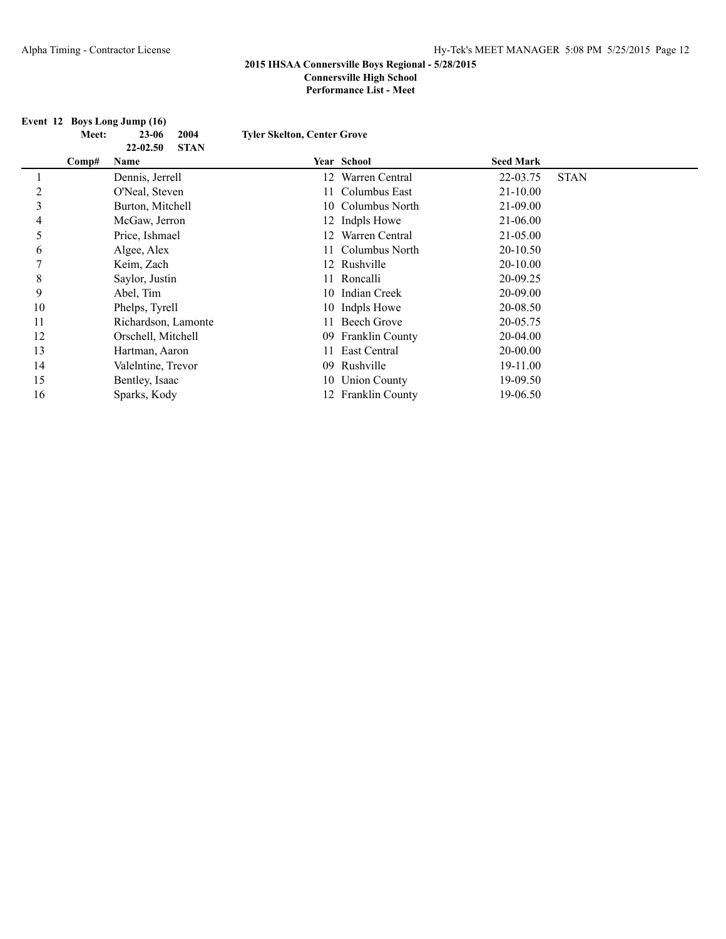# **Event 12 Boys Long Jump (16)**<br>Meet: 23-06

|    | Meet: | 2004<br>$23 - 06$           | <b>Tyler Skelton, Center Grove</b> |                        |                  |             |
|----|-------|-----------------------------|------------------------------------|------------------------|------------------|-------------|
|    |       | <b>STAN</b><br>$22 - 02.50$ |                                    |                        |                  |             |
|    | Comp# | Name                        |                                    | Year School            | <b>Seed Mark</b> |             |
|    |       | Dennis, Jerrell             |                                    | Warren Central         | 22-03.75         | <b>STAN</b> |
|    |       | O'Neal, Steven              |                                    | Columbus East          | $21 - 10.00$     |             |
| 3  |       | Burton, Mitchell            |                                    | 10 Columbus North      | 21-09.00         |             |
| 4  |       | McGaw, Jerron               |                                    | 12 Indpls Howe         | 21-06.00         |             |
| 5  |       | Price, Ishmael              |                                    | Warren Central         | 21-05.00         |             |
| 6  |       | Algee, Alex                 |                                    | 11 Columbus North      | 20-10.50         |             |
|    |       | Keim, Zach                  |                                    | 12 Rushville           | 20-10.00         |             |
| 8  |       | Saylor, Justin              |                                    | 11 Roncalli            | 20-09.25         |             |
| 9  |       | Abel, Tim                   |                                    | 10 Indian Creek        | 20-09.00         |             |
| 10 |       | Phelps, Tyrell              |                                    | 10 Indpls Howe         | 20-08.50         |             |
| 11 |       | Richardson, Lamonte         |                                    | Beech Grove            | 20-05.75         |             |
| 12 |       | Orschell, Mitchell          | 09                                 | <b>Franklin County</b> | 20-04.00         |             |
| 13 |       | Hartman, Aaron              |                                    | East Central           | 20-00.00         |             |
| 14 |       | Valelntine, Trevor          | 09                                 | Rushville              | 19-11.00         |             |
| 15 |       | Bentley, Isaac              | 10                                 | <b>Union County</b>    | 19-09.50         |             |
| 16 |       | Sparks, Kody                |                                    | 12 Franklin County     | 19-06.50         |             |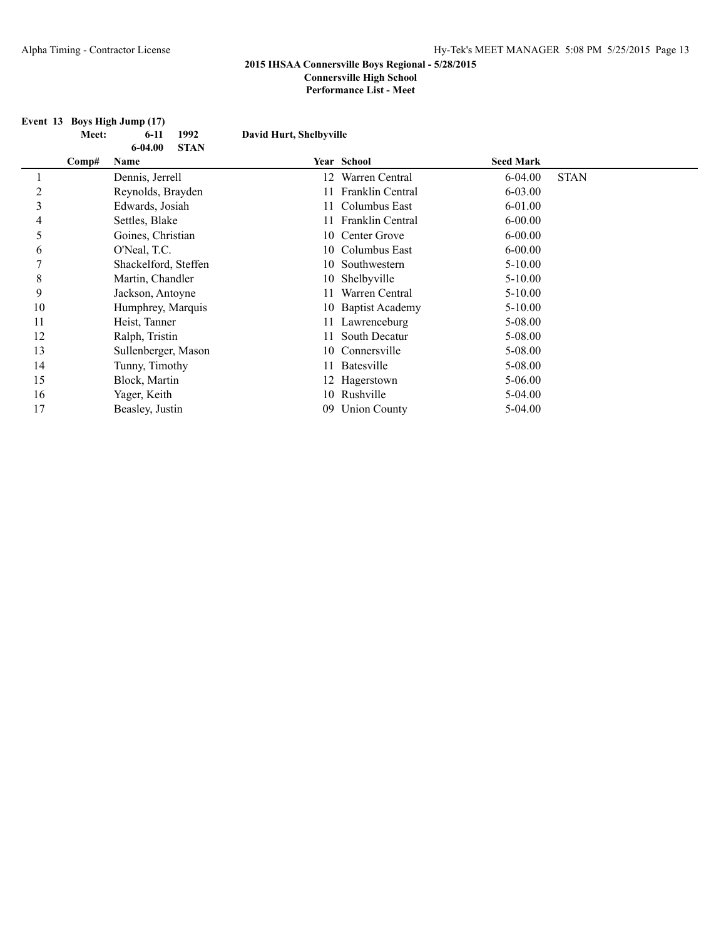#### **Event 13 Boys High Jump (17)**

|    | Meet: | $6 - 11$<br>1992                   | David Hurt, Shelbyville |                         |                  |             |
|----|-------|------------------------------------|-------------------------|-------------------------|------------------|-------------|
|    | Comp# | $6 - 04.00$<br><b>STAN</b><br>Name |                         | <b>Year School</b>      | <b>Seed Mark</b> |             |
|    |       | Dennis, Jerrell                    | 12                      | Warren Central          | $6 - 04.00$      | <b>STAN</b> |
| 2  |       | Reynolds, Brayden                  |                         | <b>Franklin Central</b> | $6 - 03.00$      |             |
| 3  |       | Edwards, Josiah                    |                         | Columbus East           | $6 - 01.00$      |             |
| 4  |       | Settles, Blake                     |                         | <b>Franklin Central</b> | $6 - 00.00$      |             |
| 5  |       | Goines, Christian                  |                         | 10 Center Grove         | $6 - 00.00$      |             |
| 6  |       | O'Neal, T.C.                       |                         | 10 Columbus East        | $6 - 00.00$      |             |
| 7  |       | Shackelford, Steffen               | 10.                     | Southwestern            | $5-10.00$        |             |
| 8  |       | Martin, Chandler                   |                         | 10 Shelbyville          | $5-10.00$        |             |
| 9  |       | Jackson, Antoyne                   |                         | Warren Central          | $5-10.00$        |             |
| 10 |       | Humphrey, Marquis                  |                         | 10 Baptist Academy      | 5-10.00          |             |
| 11 |       | Heist, Tanner                      |                         | Lawrenceburg            | 5-08.00          |             |
| 12 |       | Ralph, Tristin                     |                         | South Decatur           | 5-08.00          |             |
| 13 |       | Sullenberger, Mason                | 10                      | Connersville            | 5-08.00          |             |
| 14 |       | Tunny, Timothy                     |                         | Batesville              | 5-08.00          |             |
| 15 |       | Block, Martin                      |                         | 12 Hagerstown           | 5-06.00          |             |
| 16 |       | Yager, Keith                       | 10                      | Rushville               | $5-04.00$        |             |
| 17 |       | Beasley, Justin                    | -09                     | <b>Union County</b>     | 5-04.00          |             |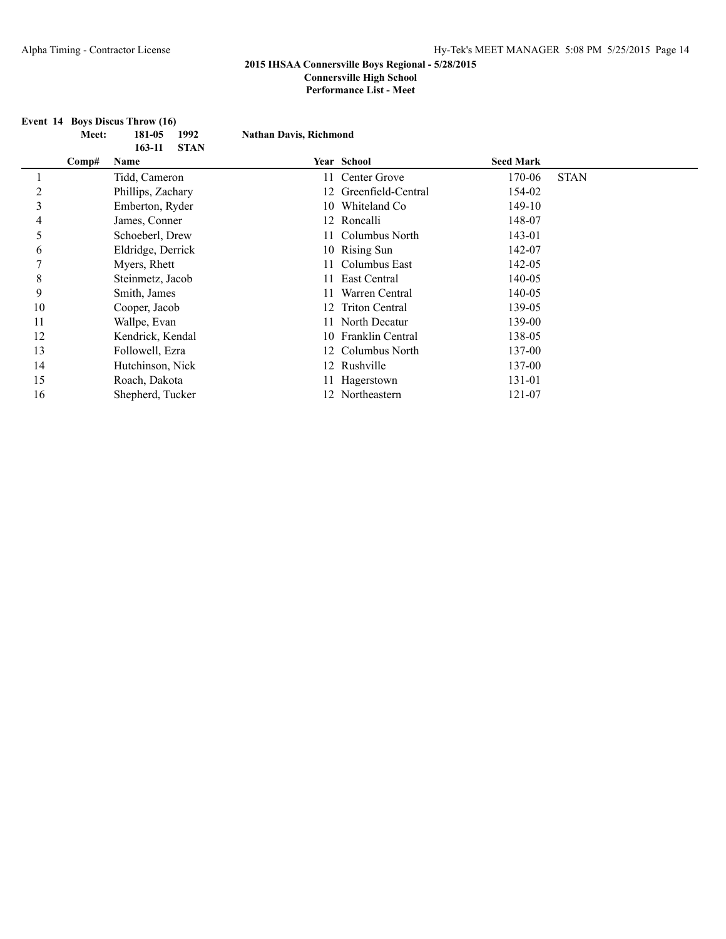|    |       | Event 14 Boys Discus Throw (16) |             |                               |                       |                  |             |
|----|-------|---------------------------------|-------------|-------------------------------|-----------------------|------------------|-------------|
|    | Meet: | 181-05                          | 1992        | <b>Nathan Davis, Richmond</b> |                       |                  |             |
|    |       | $163 - 11$                      | <b>STAN</b> |                               |                       |                  |             |
|    | Comp# | Name                            |             |                               | Year School           | <b>Seed Mark</b> |             |
|    |       | Tidd, Cameron                   |             |                               | 11 Center Grove       | 170-06           | <b>STAN</b> |
|    |       | Phillips, Zachary               |             |                               | 12 Greenfield-Central | 154-02           |             |
| 3  |       | Emberton, Ryder                 |             |                               | 10 Whiteland Co       | 149-10           |             |
| 4  |       | James, Conner                   |             |                               | 12 Roncalli           | 148-07           |             |
| 5  |       | Schoeberl, Drew                 |             |                               | Columbus North        | 143-01           |             |
| 6  |       | Eldridge, Derrick               |             |                               | 10 Rising Sun         | 142-07           |             |
| 7  |       | Myers, Rhett                    |             |                               | Columbus East         | 142-05           |             |
| 8  |       | Steinmetz, Jacob                |             |                               | East Central          | 140-05           |             |
| 9  |       | Smith, James                    |             |                               | Warren Central        | 140-05           |             |
| 10 |       | Cooper, Jacob                   |             | 12                            | <b>Triton Central</b> | 139-05           |             |
| 11 |       | Wallpe, Evan                    |             |                               | North Decatur         | 139-00           |             |
| 12 |       | Kendrick, Kendal                |             |                               | 10 Franklin Central   | 138-05           |             |
| 13 |       | Followell, Ezra                 |             |                               | 12 Columbus North     | 137-00           |             |
| 14 |       | Hutchinson, Nick                |             |                               | 12 Rushville          | 137-00           |             |
| 15 |       | Roach, Dakota                   |             |                               | 11 Hagerstown         | 131-01           |             |
| 16 |       | Shepherd, Tucker                |             |                               | 12 Northeastern       | 121-07           |             |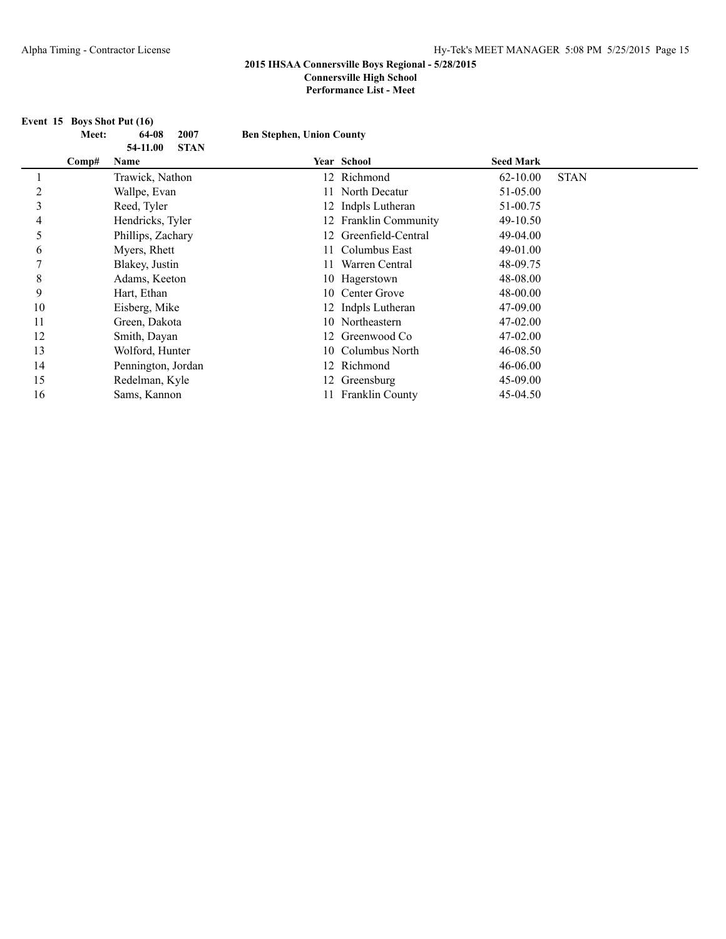**Event 15 Boys Shot Put (16)**<br>**Meet:** 64-08

|    | Meet: | 64-08<br>2007           | <b>Ben Stephen, Union County</b> |                       |                  |             |
|----|-------|-------------------------|----------------------------------|-----------------------|------------------|-------------|
|    |       | 54-11.00<br><b>STAN</b> |                                  |                       |                  |             |
|    | Comp# | Name                    |                                  | Year School           | <b>Seed Mark</b> |             |
|    |       | Trawick, Nathon         |                                  | 12 Richmond           | $62 - 10.00$     | <b>STAN</b> |
|    |       | Wallpe, Evan            |                                  | North Decatur         | 51-05.00         |             |
| 3  |       | Reed, Tyler             |                                  | 12 Indpls Lutheran    | 51-00.75         |             |
| 4  |       | Hendricks, Tyler        |                                  | 12 Franklin Community | 49-10.50         |             |
| 5  |       | Phillips, Zachary       |                                  | 12 Greenfield-Central | 49-04.00         |             |
| 6  |       | Myers, Rhett            |                                  | 11 Columbus East      | 49-01.00         |             |
|    |       | Blakey, Justin          |                                  | Warren Central        | 48-09.75         |             |
| 8  |       | Adams, Keeton           |                                  | 10 Hagerstown         | 48-08.00         |             |
| 9  |       | Hart, Ethan             |                                  | 10 Center Grove       | 48-00.00         |             |
| 10 |       | Eisberg, Mike           |                                  | 12 Indpls Lutheran    | 47-09.00         |             |
| 11 |       | Green, Dakota           |                                  | 10 Northeastern       | 47-02.00         |             |
| 12 |       | Smith, Dayan            |                                  | 12 Greenwood Co       | 47-02.00         |             |
| 13 |       | Wolford, Hunter         |                                  | 10 Columbus North     | 46-08.50         |             |
| 14 |       | Pennington, Jordan      |                                  | 12 Richmond           | 46-06.00         |             |
| 15 |       | Redelman, Kyle          |                                  | 12 Greensburg         | 45-09.00         |             |
| 16 |       | Sams, Kannon            |                                  | 11 Franklin County    | 45-04.50         |             |